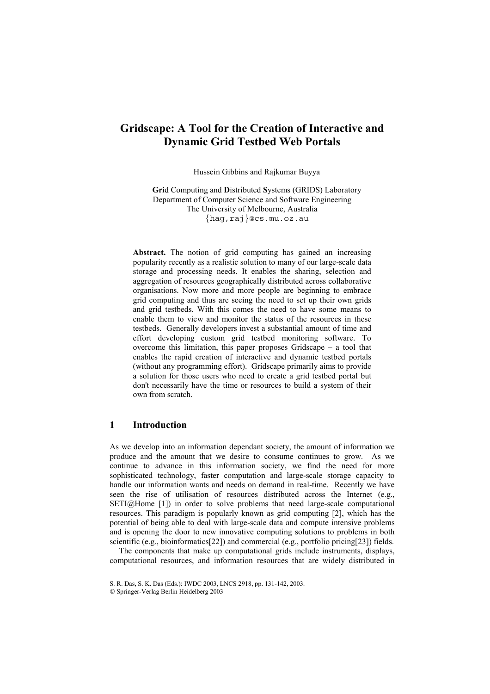# **Gridscape: A Tool for the Creation of Interactive and Dynamic Grid Testbed Web Portals**

Hussein Gibbins and Rajkumar Buyya

**Gri**d Computing and **D**istributed **S**ystems (GRIDS) Laboratory Department of Computer Science and Software Engineering The University of Melbourne, Australia {hag,raj}@cs.mu.oz.au

**Abstract.** The notion of grid computing has gained an increasing popularity recently as a realistic solution to many of our large-scale data storage and processing needs. It enables the sharing, selection and aggregation of resources geographically distributed across collaborative organisations. Now more and more people are beginning to embrace grid computing and thus are seeing the need to set up their own grids and grid testbeds. With this comes the need to have some means to enable them to view and monitor the status of the resources in these testbeds. Generally developers invest a substantial amount of time and effort developing custom grid testbed monitoring software. To overcome this limitation, this paper proposes Gridscape  $-$  a tool that enables the rapid creation of interactive and dynamic testbed portals (without any programming effort). Gridscape primarily aims to provide a solution for those users who need to create a grid testbed portal but don't necessarily have the time or resources to build a system of their own from scratch.

### **1 Introduction**

As we develop into an information dependant society, the amount of information we produce and the amount that we desire to consume continues to grow. As we continue to advance in this information society, we find the need for more sophisticated technology, faster computation and large-scale storage capacity to handle our information wants and needs on demand in real-time. Recently we have seen the rise of utilisation of resources distributed across the Internet (e.g., SETI@Home [1]) in order to solve problems that need large-scale computational resources. This paradigm is popularly known as grid computing [2], which has the potential of being able to deal with large-scale data and compute intensive problems and is opening the door to new innovative computing solutions to problems in both scientific (e.g., bioinformatics[22]) and commercial (e.g., portfolio pricing[23]) fields.

The components that make up computational grids include instruments, displays, computational resources, and information resources that are widely distributed in

Springer-Verlag Berlin Heidelberg 2003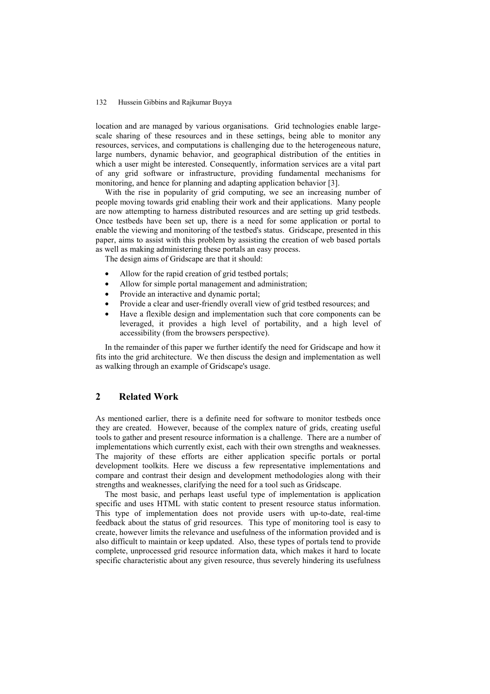location and are managed by various organisations. Grid technologies enable largescale sharing of these resources and in these settings, being able to monitor any resources, services, and computations is challenging due to the heterogeneous nature, large numbers, dynamic behavior, and geographical distribution of the entities in which a user might be interested. Consequently, information services are a vital part of any grid software or infrastructure, providing fundamental mechanisms for monitoring, and hence for planning and adapting application behavior [3].

With the rise in popularity of grid computing, we see an increasing number of people moving towards grid enabling their work and their applications. Many people are now attempting to harness distributed resources and are setting up grid testbeds. Once testbeds have been set up, there is a need for some application or portal to enable the viewing and monitoring of the testbed's status. Gridscape, presented in this paper, aims to assist with this problem by assisting the creation of web based portals as well as making administering these portals an easy process.

The design aims of Gridscape are that it should:

- Allow for the rapid creation of grid testbed portals;
- Allow for simple portal management and administration:
- Provide an interactive and dynamic portal;
- Provide a clear and user-friendly overall view of grid testbed resources; and
- Have a flexible design and implementation such that core components can be leveraged, it provides a high level of portability, and a high level of accessibility (from the browsers perspective).

In the remainder of this paper we further identify the need for Gridscape and how it fits into the grid architecture. We then discuss the design and implementation as well as walking through an example of Gridscape's usage.

#### **2 Related Work**

As mentioned earlier, there is a definite need for software to monitor testbeds once they are created. However, because of the complex nature of grids, creating useful tools to gather and present resource information is a challenge. There are a number of implementations which currently exist, each with their own strengths and weaknesses. The majority of these efforts are either application specific portals or portal development toolkits. Here we discuss a few representative implementations and compare and contrast their design and development methodologies along with their strengths and weaknesses, clarifying the need for a tool such as Gridscape.

The most basic, and perhaps least useful type of implementation is application specific and uses HTML with static content to present resource status information. This type of implementation does not provide users with up-to-date, real-time feedback about the status of grid resources. This type of monitoring tool is easy to create, however limits the relevance and usefulness of the information provided and is also difficult to maintain or keep updated. Also, these types of portals tend to provide complete, unprocessed grid resource information data, which makes it hard to locate specific characteristic about any given resource, thus severely hindering its usefulness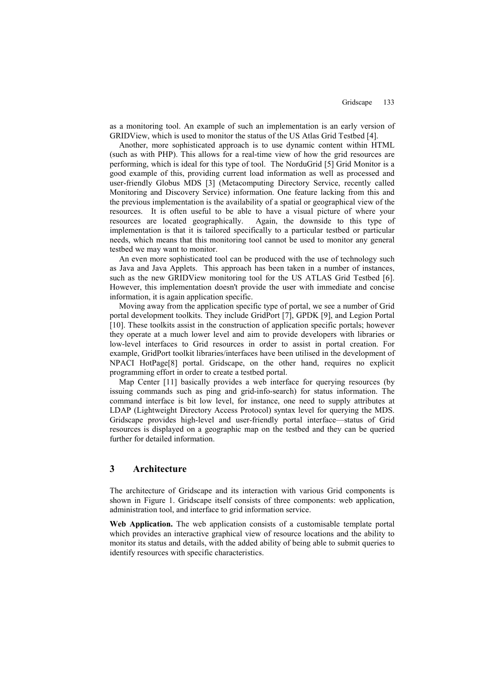as a monitoring tool. An example of such an implementation is an early version of GRIDView, which is used to monitor the status of the US Atlas Grid Testbed [4].

Another, more sophisticated approach is to use dynamic content within HTML (such as with PHP). This allows for a real-time view of how the grid resources are performing, which is ideal for this type of tool. The NorduGrid [5] Grid Monitor is a good example of this, providing current load information as well as processed and user-friendly Globus MDS [3] (Metacomputing Directory Service, recently called Monitoring and Discovery Service) information. One feature lacking from this and the previous implementation is the availability of a spatial or geographical view of the resources. It is often useful to be able to have a visual picture of where your resources are located geographically. Again, the downside to this type of implementation is that it is tailored specifically to a particular testbed or particular needs, which means that this monitoring tool cannot be used to monitor any general testbed we may want to monitor.

An even more sophisticated tool can be produced with the use of technology such as Java and Java Applets. This approach has been taken in a number of instances, such as the new GRIDView monitoring tool for the US ATLAS Grid Testbed [6]. However, this implementation doesn't provide the user with immediate and concise information, it is again application specific.

Moving away from the application specific type of portal, we see a number of Grid portal development toolkits. They include GridPort [7], GPDK [9], and Legion Portal [10]. These toolkits assist in the construction of application specific portals; however they operate at a much lower level and aim to provide developers with libraries or low-level interfaces to Grid resources in order to assist in portal creation. For example, GridPort toolkit libraries/interfaces have been utilised in the development of NPACI HotPage[8] portal. Gridscape, on the other hand, requires no explicit programming effort in order to create a testbed portal.

Map Center [11] basically provides a web interface for querying resources (by issuing commands such as ping and grid-info-search) for status information. The command interface is bit low level, for instance, one need to supply attributes at LDAP (Lightweight Directory Access Protocol) syntax level for querying the MDS. Gridscape provides high-level and user-friendly portal interface—status of Grid resources is displayed on a geographic map on the testbed and they can be queried further for detailed information.

#### **3 Architecture**

The architecture of Gridscape and its interaction with various Grid components is shown in Figure 1. Gridscape itself consists of three components: web application, administration tool, and interface to grid information service.

**Web Application.** The web application consists of a customisable template portal which provides an interactive graphical view of resource locations and the ability to monitor its status and details, with the added ability of being able to submit queries to identify resources with specific characteristics.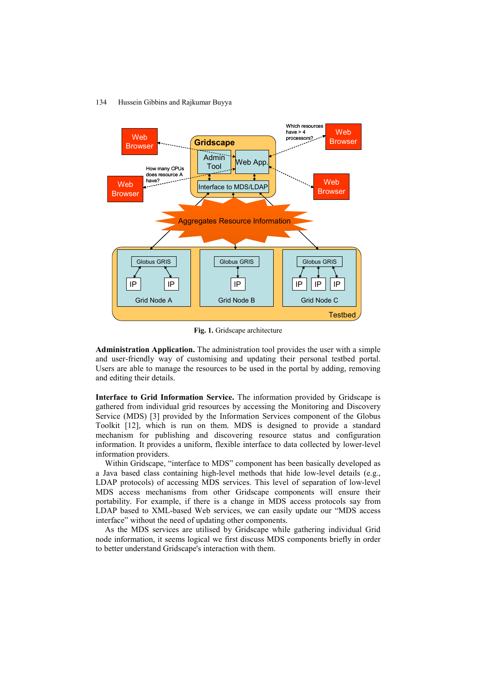

**Fig. 1.** Gridscape architecture

**Administration Application.** The administration tool provides the user with a simple and user-friendly way of customising and updating their personal testbed portal. Users are able to manage the resources to be used in the portal by adding, removing and editing their details.

**Interface to Grid Information Service.** The information provided by Gridscape is gathered from individual grid resources by accessing the Monitoring and Discovery Service (MDS) [3] provided by the Information Services component of the Globus Toolkit [12], which is run on them. MDS is designed to provide a standard mechanism for publishing and discovering resource status and configuration information. It provides a uniform, flexible interface to data collected by lower-level information providers.

Within Gridscape, "interface to MDS" component has been basically developed as a Java based class containing high-level methods that hide low-level details (e.g., LDAP protocols) of accessing MDS services. This level of separation of low-level MDS access mechanisms from other Gridscape components will ensure their portability. For example, if there is a change in MDS access protocols say from LDAP based to XML-based Web services, we can easily update our "MDS access" interface" without the need of updating other components.

As the MDS services are utilised by Gridscape while gathering individual Grid node information, it seems logical we first discuss MDS components briefly in order to better understand Gridscape's interaction with them.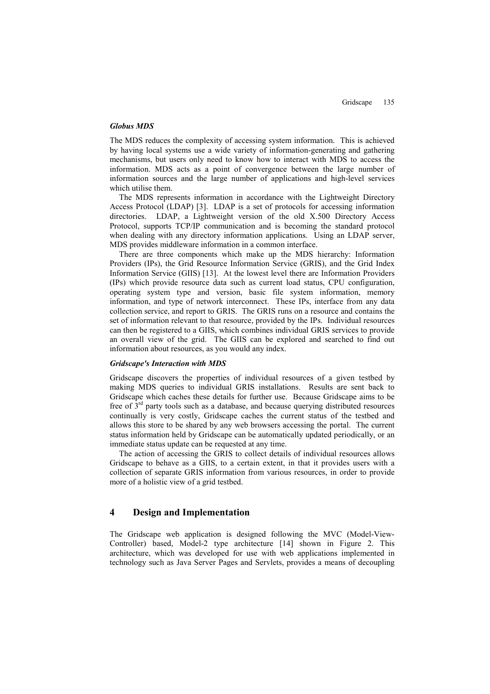#### *Globus MDS*

The MDS reduces the complexity of accessing system information. This is achieved by having local systems use a wide variety of information-generating and gathering mechanisms, but users only need to know how to interact with MDS to access the information. MDS acts as a point of convergence between the large number of information sources and the large number of applications and high-level services which utilise them.

The MDS represents information in accordance with the Lightweight Directory Access Protocol (LDAP) [3]. LDAP is a set of protocols for accessing information directories. LDAP, a Lightweight version of the old X.500 Directory Access Protocol, supports TCP/IP communication and is becoming the standard protocol when dealing with any directory information applications. Using an LDAP server, MDS provides middleware information in a common interface.

There are three components which make up the MDS hierarchy: Information Providers (IPs), the Grid Resource Information Service (GRIS), and the Grid Index Information Service (GIIS) [13]. At the lowest level there are Information Providers (IPs) which provide resource data such as current load status, CPU configuration, operating system type and version, basic file system information, memory information, and type of network interconnect. These IPs, interface from any data collection service, and report to GRIS. The GRIS runs on a resource and contains the set of information relevant to that resource, provided by the IPs. Individual resources can then be registered to a GIIS, which combines individual GRIS services to provide an overall view of the grid. The GIIS can be explored and searched to find out information about resources, as you would any index.

#### *Gridscape's Interaction with MDS*

Gridscape discovers the properties of individual resources of a given testbed by making MDS queries to individual GRIS installations. Results are sent back to Gridscape which caches these details for further use. Because Gridscape aims to be free of  $3<sup>rd</sup>$  party tools such as a database, and because querying distributed resources continually is very costly, Gridscape caches the current status of the testbed and allows this store to be shared by any web browsers accessing the portal. The current status information held by Gridscape can be automatically updated periodically, or an immediate status update can be requested at any time.

The action of accessing the GRIS to collect details of individual resources allows Gridscape to behave as a GIIS, to a certain extent, in that it provides users with a collection of separate GRIS information from various resources, in order to provide more of a holistic view of a grid testbed.

#### **4 Design and Implementation**

The Gridscape web application is designed following the MVC (Model-View-Controller) based, Model-2 type architecture [14] shown in Figure 2. This architecture, which was developed for use with web applications implemented in technology such as Java Server Pages and Servlets, provides a means of decoupling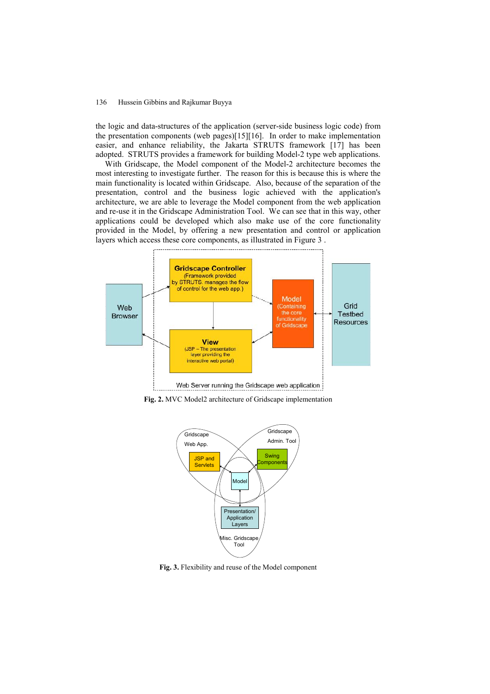the logic and data-structures of the application (server-side business logic code) from the presentation components (web pages)[15][16]. In order to make implementation easier, and enhance reliability, the Jakarta STRUTS framework [17] has been adopted. STRUTS provides a framework for building Model-2 type web applications.

With Gridscape, the Model component of the Model-2 architecture becomes the most interesting to investigate further. The reason for this is because this is where the main functionality is located within Gridscape. Also, because of the separation of the presentation, control and the business logic achieved with the application's architecture, we are able to leverage the Model component from the web application and re-use it in the Gridscape Administration Tool. We can see that in this way, other applications could be developed which also make use of the core functionality provided in the Model, by offering a new presentation and control or application layers which access these core components, as illustrated in Figure 3 .



**Fig. 2.** MVC Model2 architecture of Gridscape implementation



**Fig. 3.** Flexibility and reuse of the Model component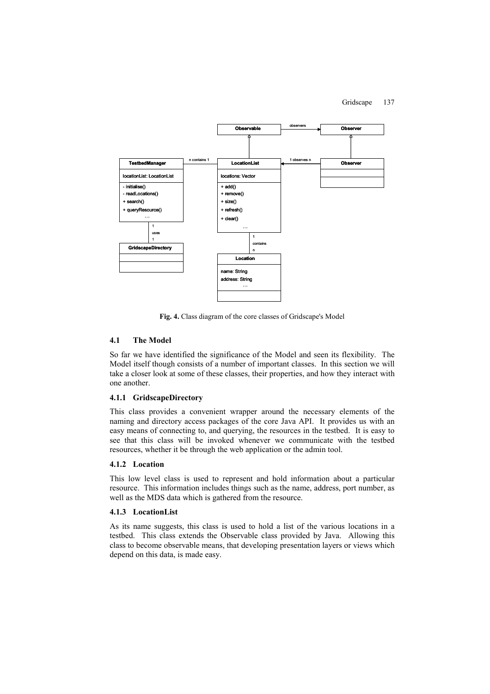

**Fig. 4.** Class diagram of the core classes of Gridscape's Model

#### **4.1 The Model**

So far we have identified the significance of the Model and seen its flexibility. The Model itself though consists of a number of important classes. In this section we will take a closer look at some of these classes, their properties, and how they interact with one another.

#### **4.1.1 GridscapeDirectory**

This class provides a convenient wrapper around the necessary elements of the naming and directory access packages of the core Java API. It provides us with an easy means of connecting to, and querying, the resources in the testbed. It is easy to see that this class will be invoked whenever we communicate with the testbed resources, whether it be through the web application or the admin tool.

#### **4.1.2 Location**

This low level class is used to represent and hold information about a particular resource. This information includes things such as the name, address, port number, as well as the MDS data which is gathered from the resource.

#### **4.1.3 LocationList**

As its name suggests, this class is used to hold a list of the various locations in a testbed. This class extends the Observable class provided by Java. Allowing this class to become observable means, that developing presentation layers or views which depend on this data, is made easy.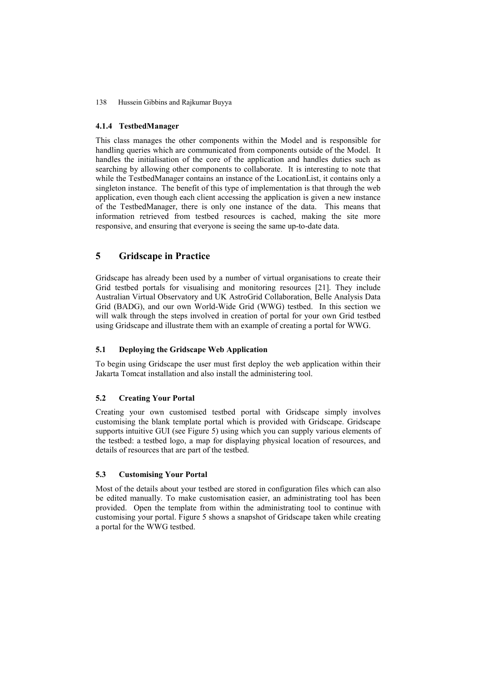#### **4.1.4 TestbedManager**

This class manages the other components within the Model and is responsible for handling queries which are communicated from components outside of the Model. It handles the initialisation of the core of the application and handles duties such as searching by allowing other components to collaborate. It is interesting to note that while the TestbedManager contains an instance of the LocationList, it contains only a singleton instance. The benefit of this type of implementation is that through the web application, even though each client accessing the application is given a new instance of the TestbedManager, there is only one instance of the data. This means that information retrieved from testbed resources is cached, making the site more responsive, and ensuring that everyone is seeing the same up-to-date data.

## **5 Gridscape in Practice**

Gridscape has already been used by a number of virtual organisations to create their Grid testbed portals for visualising and monitoring resources [21]. They include Australian Virtual Observatory and UK AstroGrid Collaboration, Belle Analysis Data Grid (BADG), and our own World-Wide Grid (WWG) testbed. In this section we will walk through the steps involved in creation of portal for your own Grid testbed using Gridscape and illustrate them with an example of creating a portal for WWG.

#### **5.1 Deploying the Gridscape Web Application**

To begin using Gridscape the user must first deploy the web application within their Jakarta Tomcat installation and also install the administering tool.

#### **5.2 Creating Your Portal**

Creating your own customised testbed portal with Gridscape simply involves customising the blank template portal which is provided with Gridscape. Gridscape supports intuitive GUI (see Figure 5) using which you can supply various elements of the testbed: a testbed logo, a map for displaying physical location of resources, and details of resources that are part of the testbed.

#### **5.3 Customising Your Portal**

Most of the details about your testbed are stored in configuration files which can also be edited manually. To make customisation easier, an administrating tool has been provided. Open the template from within the administrating tool to continue with customising your portal. Figure 5 shows a snapshot of Gridscape taken while creating a portal for the WWG testbed.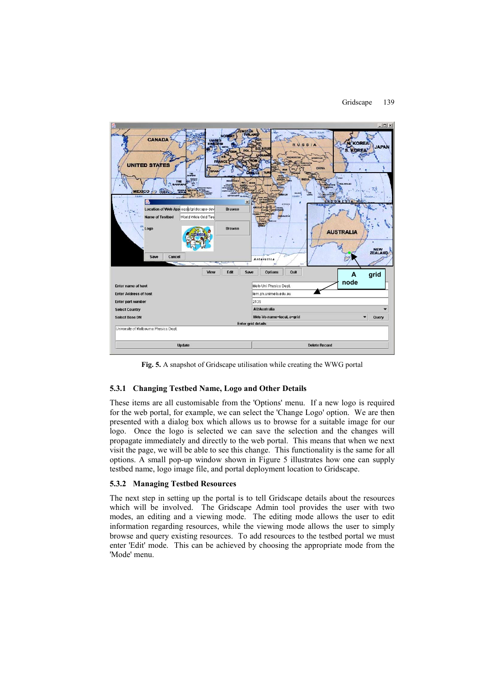

**Fig. 5.** A snapshot of Gridscape utilisation while creating the WWG portal

#### **5.3.1 Changing Testbed Name, Logo and Other Details**

These items are all customisable from the 'Options' menu. If a new logo is required for the web portal, for example, we can select the 'Change Logo' option. We are then presented with a dialog box which allows us to browse for a suitable image for our logo. Once the logo is selected we can save the selection and the changes will propagate immediately and directly to the web portal. This means that when we next visit the page, we will be able to see this change. This functionality is the same for all options. A small pop-up window shown in Figure 5 illustrates how one can supply testbed name, logo image file, and portal deployment location to Gridscape.

#### **5.3.2 Managing Testbed Resources**

The next step in setting up the portal is to tell Gridscape details about the resources which will be involved. The Gridscape Admin tool provides the user with two modes, an editing and a viewing mode. The editing mode allows the user to edit information regarding resources, while the viewing mode allows the user to simply browse and query existing resources. To add resources to the testbed portal we must enter 'Edit' mode. This can be achieved by choosing the appropriate mode from the 'Mode' menu.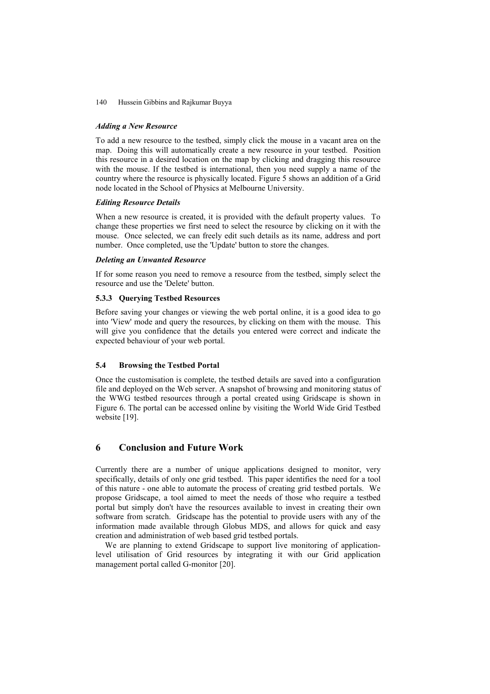#### *Adding a New Resource*

To add a new resource to the testbed, simply click the mouse in a vacant area on the map. Doing this will automatically create a new resource in your testbed. Position this resource in a desired location on the map by clicking and dragging this resource with the mouse. If the testbed is international, then you need supply a name of the country where the resource is physically located. Figure 5 shows an addition of a Grid node located in the School of Physics at Melbourne University.

#### *Editing Resource Details*

When a new resource is created, it is provided with the default property values. To change these properties we first need to select the resource by clicking on it with the mouse. Once selected, we can freely edit such details as its name, address and port number. Once completed, use the 'Update' button to store the changes.

#### *Deleting an Unwanted Resource*

If for some reason you need to remove a resource from the testbed, simply select the resource and use the 'Delete' button.

#### **5.3.3 Querying Testbed Resources**

Before saving your changes or viewing the web portal online, it is a good idea to go into 'View' mode and query the resources, by clicking on them with the mouse. This will give you confidence that the details you entered were correct and indicate the expected behaviour of your web portal.

#### **5.4 Browsing the Testbed Portal**

Once the customisation is complete, the testbed details are saved into a configuration file and deployed on the Web server. A snapshot of browsing and monitoring status of the WWG testbed resources through a portal created using Gridscape is shown in Figure 6. The portal can be accessed online by visiting the World Wide Grid Testbed website [19].

## **6 Conclusion and Future Work**

Currently there are a number of unique applications designed to monitor, very specifically, details of only one grid testbed. This paper identifies the need for a tool of this nature - one able to automate the process of creating grid testbed portals. We propose Gridscape, a tool aimed to meet the needs of those who require a testbed portal but simply don't have the resources available to invest in creating their own software from scratch. Gridscape has the potential to provide users with any of the information made available through Globus MDS, and allows for quick and easy creation and administration of web based grid testbed portals.

We are planning to extend Gridscape to support live monitoring of applicationlevel utilisation of Grid resources by integrating it with our Grid application management portal called G-monitor [20].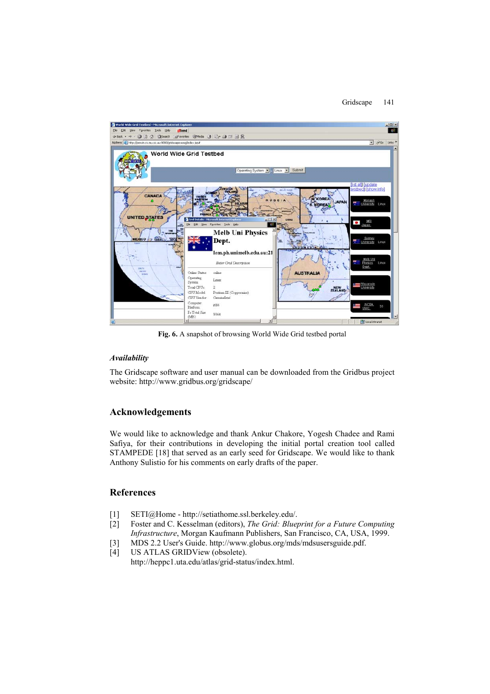

**Fig. 6.** A snapshot of browsing World Wide Grid testbed portal

#### *Availability*

The Gridscape software and user manual can be downloaded from the Gridbus project website: http://www.gridbus.org/gridscape/

## **Acknowledgements**

We would like to acknowledge and thank Ankur Chakore, Yogesh Chadee and Rami Safiya, for their contributions in developing the initial portal creation tool called STAMPEDE [18] that served as an early seed for Gridscape. We would like to thank Anthony Sulistio for his comments on early drafts of the paper.

### **References**

- [1] SETI@Home http://setiathome.ssl.berkeley.edu/.
- [2] Foster and C. Kesselman (editors), *The Grid: Blueprint for a Future Computing Infrastructure*, Morgan Kaufmann Publishers, San Francisco, CA, USA, 1999.
- [3] MDS 2.2 User's Guide. http://www.globus.org/mds/mdsusersguide.pdf.
- [4] US ATLAS GRIDView (obsolete). http://heppc1.uta.edu/atlas/grid-status/index.html.